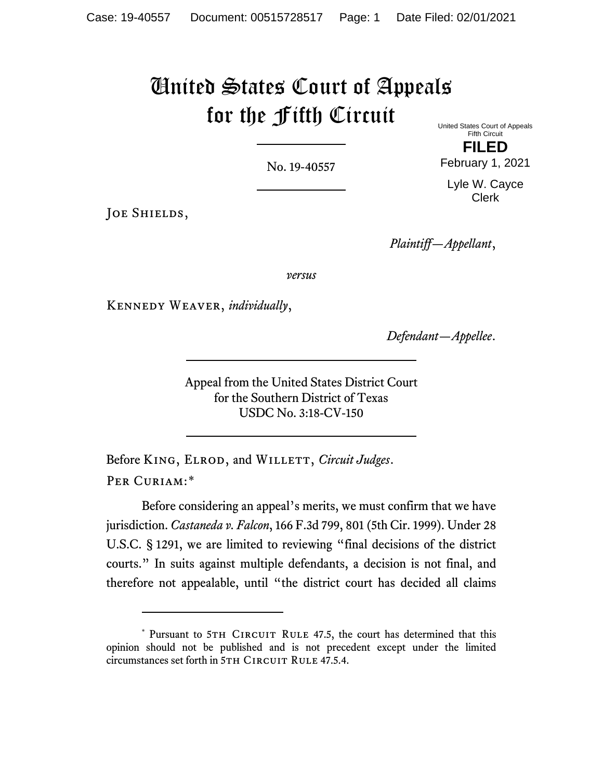## United States Court of Appeals for the Fifth Circuit

No. 19-40557

United States Court of Appeals Fifth Circuit

**FILED** February 1, 2021

Lyle W. Cayce Clerk

JOE SHIELDS,

*Plaintiff—Appellant*,

*versus*

Kennedy Weaver, *individually*,

*Defendant—Appellee*.

Appeal from the United States District Court for the Southern District of Texas USDC No. 3:18-CV-150

Before KING, ELROD, and WILLETT, *Circuit Judges*. PER CURIAM:[\\*](#page-0-0)

Before considering an appeal's merits, we must confirm that we have jurisdiction. *Castaneda v. Falcon*, 166 F.3d 799, 801 (5th Cir. 1999). Under 28 U.S.C. § 1291, we are limited to reviewing "final decisions of the district courts." In suits against multiple defendants, a decision is not final, and therefore not appealable, until "the district court has decided all claims

<span id="page-0-0"></span><sup>\*</sup> Pursuant to 5TH CIRCUIT RULE 47.5, the court has determined that this opinion should not be published and is not precedent except under the limited circumstances set forth in 5TH CIRCUIT RULE 47.5.4.